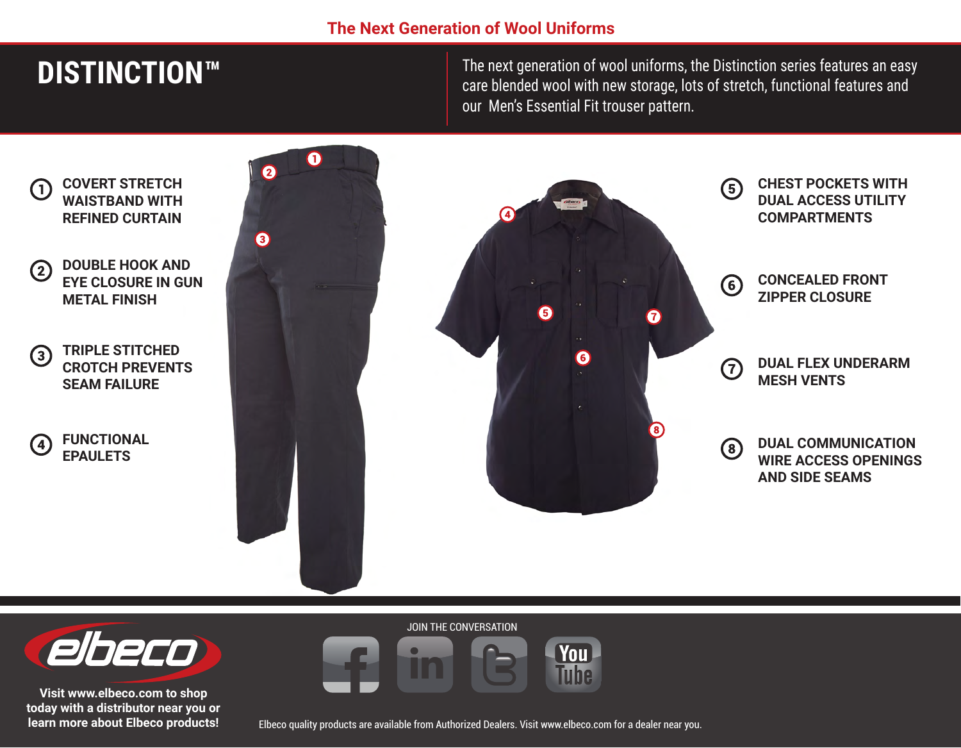## **The Next Generation of Wool Uniforms**

# **DISTINCTION™**

The next generation of wool uniforms, the Distinction series features an easy care blended wool with new storage, lots of stretch, functional features and our Men's Essential Fit trouser pattern.





**Visit www.elbeco.com to shop today with a distributor near you or learn more about Elbeco products!** JOIN THE CONVERSATION



Elbeco quality products are available from Authorized Dealers. Visit www.elbeco.com for a dealer near you.